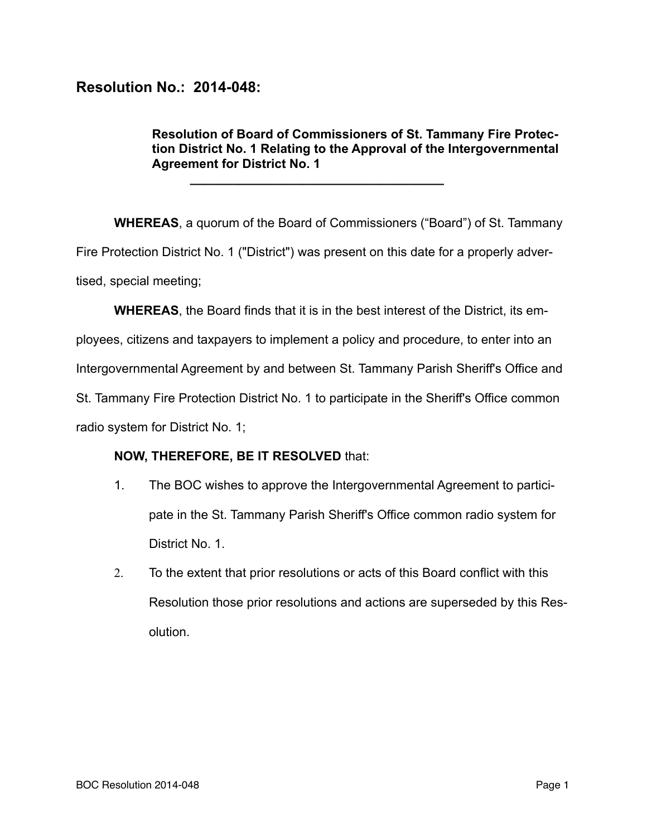## **Resolution No.: 2014-048:**

## **Resolution of Board of Commissioners of St. Tammany Fire Protection District No. 1 Relating to the Approval of the Intergovernmental Agreement for District No. 1**

**WHEREAS**, a quorum of the Board of Commissioners ("Board") of St. Tammany Fire Protection District No. 1 ("District") was present on this date for a properly advertised, special meeting;

**\_\_\_\_\_\_\_\_\_\_\_\_\_\_\_\_\_\_\_\_\_\_\_\_\_\_\_\_\_\_\_\_\_\_\_\_** 

**WHEREAS**, the Board finds that it is in the best interest of the District, its em-

ployees, citizens and taxpayers to implement a policy and procedure, to enter into an

Intergovernmental Agreement by and between St. Tammany Parish Sheriff's Office and

St. Tammany Fire Protection District No. 1 to participate in the Sheriff's Office common

radio system for District No. 1;

## **NOW, THEREFORE, BE IT RESOLVED** that:

- 1. The BOC wishes to approve the Intergovernmental Agreement to participate in the St. Tammany Parish Sheriff's Office common radio system for District No. 1.
- 2. To the extent that prior resolutions or acts of this Board conflict with this Resolution those prior resolutions and actions are superseded by this Resolution.